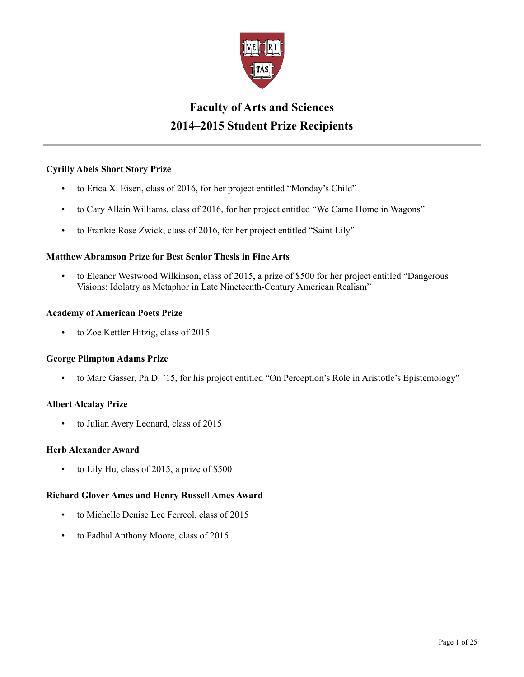

# **Faculty of Arts and Sciences 2014–2015 Student Prize Recipients**

# **Cyrilly Abels Short Story Prize**

- to Erica X. Eisen, class of 2016, for her project entitled "Monday's Child"
- to Cary Allain Williams, class of 2016, for her project entitled "We Came Home in Wagons"
- to Frankie Rose Zwick, class of 2016, for her project entitled "Saint Lily"

# **Matthew Abramson Prize for Best Senior Thesis in Fine Arts**

• to Eleanor Westwood Wilkinson, class of 2015, a prize of \$500 for her project entitled "Dangerous Visions: Idolatry as Metaphor in Late Nineteenth-Century American Realism"

# **Academy of American Poets Prize**

• to Zoe Kettler Hitzig, class of 2015

# **George Plimpton Adams Prize**

• to Marc Gasser, Ph.D. '15, for his project entitled "On Perception's Role in Aristotle's Epistemology"

# **Albert Alcalay Prize**

• to Julian Avery Leonard, class of 2015

# **Herb Alexander Award**

• to Lily Hu, class of 2015, a prize of \$500

# **Richard Glover Ames and Henry Russell Ames Award**

- to Michelle Denise Lee Ferreol, class of 2015
- to Fadhal Anthony Moore, class of 2015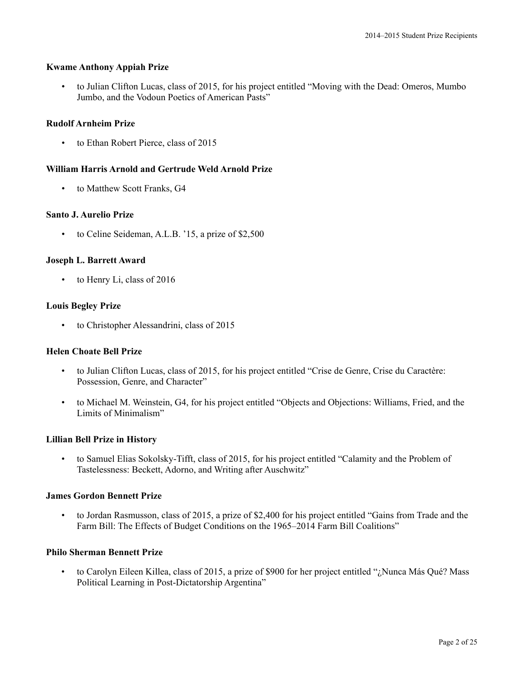# **Kwame Anthony Appiah Prize**

• to Julian Clifton Lucas, class of 2015, for his project entitled "Moving with the Dead: Omeros, Mumbo Jumbo, and the Vodoun Poetics of American Pasts"

# **Rudolf Arnheim Prize**

to Ethan Robert Pierce, class of 2015

# **William Harris Arnold and Gertrude Weld Arnold Prize**

• to Matthew Scott Franks, G4

# **Santo J. Aurelio Prize**

• to Celine Seideman, A.L.B. '15, a prize of \$2,500

# **Joseph L. Barrett Award**

• to Henry Li, class of 2016

# **Louis Begley Prize**

• to Christopher Alessandrini, class of 2015

#### **Helen Choate Bell Prize**

- to Julian Clifton Lucas, class of 2015, for his project entitled "Crise de Genre, Crise du Caractère: Possession, Genre, and Character"
- to Michael M. Weinstein, G4, for his project entitled "Objects and Objections: Williams, Fried, and the Limits of Minimalism"

# **Lillian Bell Prize in History**

• to Samuel Elias Sokolsky-Tifft, class of 2015, for his project entitled "Calamity and the Problem of Tastelessness: Beckett, Adorno, and Writing after Auschwitz"

#### **James Gordon Bennett Prize**

• to Jordan Rasmusson, class of 2015, a prize of \$2,400 for his project entitled "Gains from Trade and the Farm Bill: The Effects of Budget Conditions on the 1965–2014 Farm Bill Coalitions"

## **Philo Sherman Bennett Prize**

• to Carolyn Eileen Killea, class of 2015, a prize of \$900 for her project entitled "¿Nunca Más Qué? Mass Political Learning in Post-Dictatorship Argentina"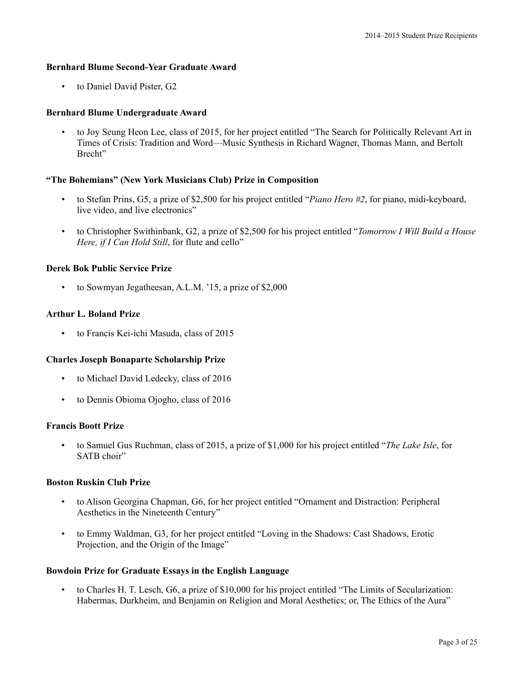# **Bernhard Blume Second-Year Graduate Award**

to Daniel David Pister, G2

# **Bernhard Blume Undergraduate Award**

• to Joy Seung Heon Lee, class of 2015, for her project entitled "The Search for Politically Relevant Art in Times of Crisis: Tradition and Word—Music Synthesis in Richard Wagner, Thomas Mann, and Bertolt Brecht"

# **"The Bohemians" (New York Musicians Club) Prize in Composition**

- to Stefan Prins, G5, a prize of \$2,500 for his project entitled "*Piano Hero #2*, for piano, midi-keyboard, live video, and live electronics"
- to Christopher Swithinbank, G2, a prize of \$2,500 for his project entitled "*Tomorrow I Will Build a House Here, if I Can Hold Still*, for flute and cello"

# **Derek Bok Public Service Prize**

• to Sowmyan Jegatheesan, A.L.M. '15, a prize of \$2,000

#### **Arthur L. Boland Prize**

• to Francis Kei-ichi Masuda, class of 2015

#### **Charles Joseph Bonaparte Scholarship Prize**

- to Michael David Ledecky, class of 2016
- to Dennis Obioma Ojogho, class of 2016

#### **Francis Boott Prize**

• to Samuel Gus Ruchman, class of 2015, a prize of \$1,000 for his project entitled "*The Lake Isle*, for SATB choir"

#### **Boston Ruskin Club Prize**

- to Alison Georgina Chapman, G6, for her project entitled "Ornament and Distraction: Peripheral Aesthetics in the Nineteenth Century"
- to Emmy Waldman, G3, for her project entitled "Loving in the Shadows: Cast Shadows, Erotic Projection, and the Origin of the Image"

#### **Bowdoin Prize for Graduate Essays in the English Language**

• to Charles H. T. Lesch, G6, a prize of \$10,000 for his project entitled "The Limits of Secularization: Habermas, Durkheim, and Benjamin on Religion and Moral Aesthetics; or, The Ethics of the Aura"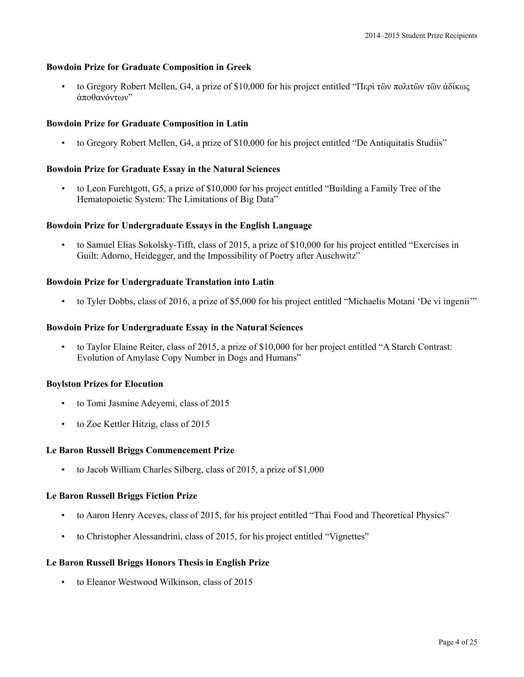## **Bowdoin Prize for Graduate Composition in Greek**

• to Gregory Robert Mellen, G4, a prize of \$10,000 for his project entitled "Περὶ τὣν πολιτὣν τὣν ἀδίκως ἀποθανόντων"

## **Bowdoin Prize for Graduate Composition in Latin**

• to Gregory Robert Mellen, G4, a prize of \$10,000 for his project entitled "De Antiquitatis Studiis"

# **Bowdoin Prize for Graduate Essay in the Natural Sciences**

• to Leon Furchtgott, G5, a prize of \$10,000 for his project entitled "Building a Family Tree of the Hematopoietic System: The Limitations of Big Data"

# **Bowdoin Prize for Undergraduate Essays in the English Language**

• to Samuel Elias Sokolsky-Tifft, class of 2015, a prize of \$10,000 for his project entitled "Exercises in Guilt: Adorno, Heidegger, and the Impossibility of Poetry after Auschwitz"

# **Bowdoin Prize for Undergraduate Translation into Latin**

• to Tyler Dobbs, class of 2016, a prize of \$5,000 for his project entitled "Michaelis Motani 'De vi ingenii'"

#### **Bowdoin Prize for Undergraduate Essay in the Natural Sciences**

• to Taylor Elaine Reiter, class of 2015, a prize of \$10,000 for her project entitled "A Starch Contrast: Evolution of Amylase Copy Number in Dogs and Humans"

#### **Boylston Prizes for Elocution**

- to Tomi Jasmine Adeyemi, class of 2015
- to Zoe Kettler Hitzig, class of 2015

#### **Le Baron Russell Briggs Commencement Prize**

• to Jacob William Charles Silberg, class of 2015, a prize of \$1,000

#### **Le Baron Russell Briggs Fiction Prize**

- to Aaron Henry Aceves, class of 2015, for his project entitled "Thai Food and Theoretical Physics"
- to Christopher Alessandrini, class of 2015, for his project entitled "Vignettes"

#### **Le Baron Russell Briggs Honors Thesis in English Prize**

• to Eleanor Westwood Wilkinson, class of 2015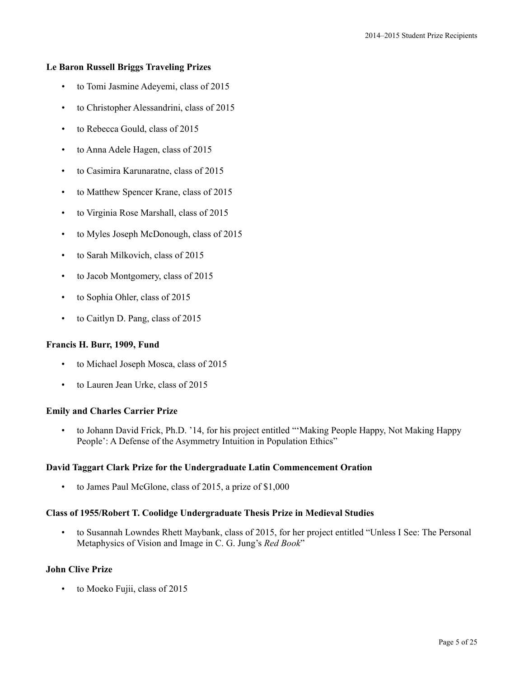# **Le Baron Russell Briggs Traveling Prizes**

- to Tomi Jasmine Adeyemi, class of 2015
- to Christopher Alessandrini, class of 2015
- to Rebecca Gould, class of 2015
- to Anna Adele Hagen, class of 2015
- to Casimira Karunaratne, class of 2015
- to Matthew Spencer Krane, class of 2015
- to Virginia Rose Marshall, class of 2015
- to Myles Joseph McDonough, class of 2015
- to Sarah Milkovich, class of 2015
- to Jacob Montgomery, class of 2015
- to Sophia Ohler, class of 2015
- to Caitlyn D. Pang, class of 2015

#### **Francis H. Burr, 1909, Fund**

- to Michael Joseph Mosca, class of 2015
- to Lauren Jean Urke, class of 2015

#### **Emily and Charles Carrier Prize**

• to Johann David Frick, Ph.D. '14, for his project entitled "'Making People Happy, Not Making Happy People': A Defense of the Asymmetry Intuition in Population Ethics"

#### **David Taggart Clark Prize for the Undergraduate Latin Commencement Oration**

• to James Paul McGlone, class of 2015, a prize of \$1,000

# **Class of 1955/Robert T. Coolidge Undergraduate Thesis Prize in Medieval Studies**

• to Susannah Lowndes Rhett Maybank, class of 2015, for her project entitled "Unless I See: The Personal Metaphysics of Vision and Image in C. G. Jung's *Red Book*"

# **John Clive Prize**

• to Moeko Fujii, class of 2015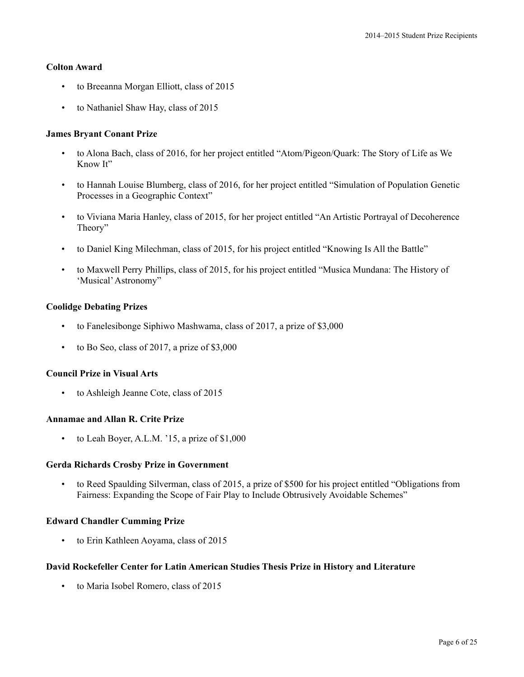# **Colton Award**

- to Breeanna Morgan Elliott, class of 2015
- to Nathaniel Shaw Hay, class of 2015

# **James Bryant Conant Prize**

- to Alona Bach, class of 2016, for her project entitled "Atom/Pigeon/Quark: The Story of Life as We Know It"
- to Hannah Louise Blumberg, class of 2016, for her project entitled "Simulation of Population Genetic Processes in a Geographic Context"
- to Viviana Maria Hanley, class of 2015, for her project entitled "An Artistic Portrayal of Decoherence Theory"
- to Daniel King Milechman, class of 2015, for his project entitled "Knowing Is All the Battle"
- to Maxwell Perry Phillips, class of 2015, for his project entitled "Musica Mundana: The History of 'Musical'Astronomy"

# **Coolidge Debating Prizes**

- to Fanelesibonge Siphiwo Mashwama, class of 2017, a prize of \$3,000
- to Bo Seo, class of 2017, a prize of \$3,000

# **Council Prize in Visual Arts**

• to Ashleigh Jeanne Cote, class of 2015

# **Annamae and Allan R. Crite Prize**

to Leah Boyer, A.L.M. '15, a prize of \$1,000

# **Gerda Richards Crosby Prize in Government**

• to Reed Spaulding Silverman, class of 2015, a prize of \$500 for his project entitled "Obligations from Fairness: Expanding the Scope of Fair Play to Include Obtrusively Avoidable Schemes"

# **Edward Chandler Cumming Prize**

• to Erin Kathleen Aoyama, class of 2015

# **David Rockefeller Center for Latin American Studies Thesis Prize in History and Literature**

• to Maria Isobel Romero, class of 2015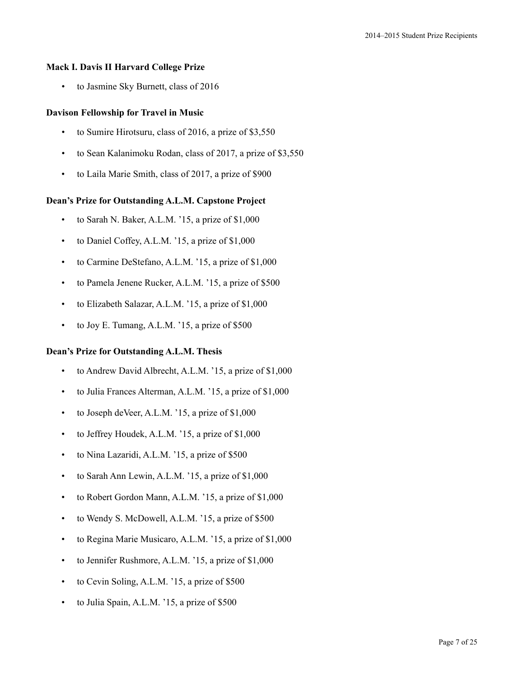## **Mack I. Davis II Harvard College Prize**

• to Jasmine Sky Burnett, class of 2016

## **Davison Fellowship for Travel in Music**

- to Sumire Hirotsuru, class of 2016, a prize of \$3,550
- to Sean Kalanimoku Rodan, class of 2017, a prize of \$3,550
- to Laila Marie Smith, class of 2017, a prize of \$900

# **Dean's Prize for Outstanding A.L.M. Capstone Project**

- to Sarah N. Baker, A.L.M. '15, a prize of \$1,000
- to Daniel Coffey, A.L.M. '15, a prize of \$1,000
- to Carmine DeStefano, A.L.M. '15, a prize of \$1,000
- to Pamela Jenene Rucker, A.L.M. '15, a prize of \$500
- to Elizabeth Salazar, A.L.M. '15, a prize of \$1,000
- to Joy E. Tumang, A.L.M. '15, a prize of \$500

#### **Dean's Prize for Outstanding A.L.M. Thesis**

- to Andrew David Albrecht, A.L.M. '15, a prize of \$1,000
- to Julia Frances Alterman, A.L.M. '15, a prize of \$1,000
- to Joseph deVeer, A.L.M. '15, a prize of \$1,000
- to Jeffrey Houdek, A.L.M. '15, a prize of \$1,000
- to Nina Lazaridi, A.L.M. '15, a prize of \$500
- to Sarah Ann Lewin, A.L.M. '15, a prize of \$1,000
- to Robert Gordon Mann, A.L.M. '15, a prize of \$1,000
- to Wendy S. McDowell, A.L.M. '15, a prize of \$500
- to Regina Marie Musicaro, A.L.M. '15, a prize of \$1,000
- to Jennifer Rushmore, A.L.M. '15, a prize of \$1,000
- to Cevin Soling, A.L.M. '15, a prize of \$500
- to Julia Spain, A.L.M. '15, a prize of \$500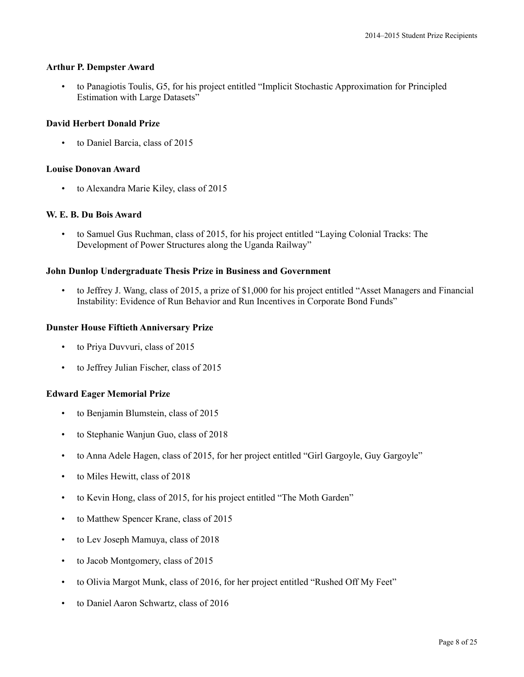#### **Arthur P. Dempster Award**

• to Panagiotis Toulis, G5, for his project entitled "Implicit Stochastic Approximation for Principled Estimation with Large Datasets"

# **David Herbert Donald Prize**

to Daniel Barcia, class of 2015

# **Louise Donovan Award**

• to Alexandra Marie Kiley, class of 2015

# **W. E. B. Du Bois Award**

• to Samuel Gus Ruchman, class of 2015, for his project entitled "Laying Colonial Tracks: The Development of Power Structures along the Uganda Railway"

# **John Dunlop Undergraduate Thesis Prize in Business and Government**

• to Jeffrey J. Wang, class of 2015, a prize of \$1,000 for his project entitled "Asset Managers and Financial Instability: Evidence of Run Behavior and Run Incentives in Corporate Bond Funds"

# **Dunster House Fiftieth Anniversary Prize**

- to Priya Duvvuri, class of 2015
- to Jeffrey Julian Fischer, class of 2015

#### **Edward Eager Memorial Prize**

- to Benjamin Blumstein, class of 2015
- to Stephanie Wanjun Guo, class of 2018
- to Anna Adele Hagen, class of 2015, for her project entitled "Girl Gargoyle, Guy Gargoyle"
- to Miles Hewitt, class of 2018
- to Kevin Hong, class of 2015, for his project entitled "The Moth Garden"
- to Matthew Spencer Krane, class of 2015
- to Lev Joseph Mamuya, class of 2018
- to Jacob Montgomery, class of 2015
- to Olivia Margot Munk, class of 2016, for her project entitled "Rushed Off My Feet"
- to Daniel Aaron Schwartz, class of 2016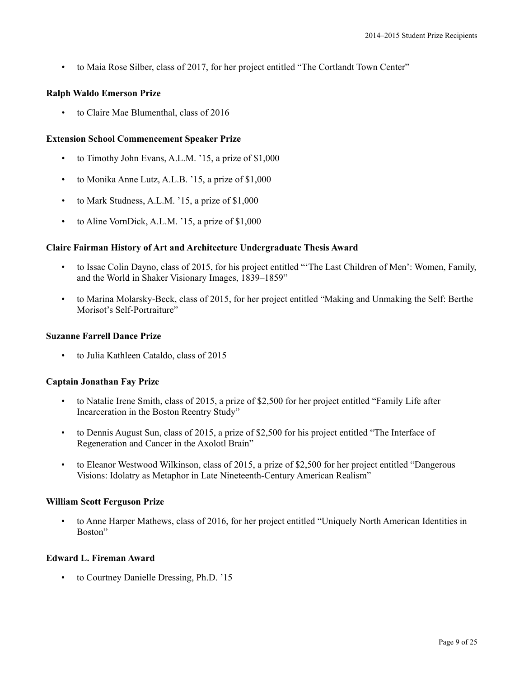• to Maia Rose Silber, class of 2017, for her project entitled "The Cortlandt Town Center"

## **Ralph Waldo Emerson Prize**

• to Claire Mae Blumenthal, class of 2016

# **Extension School Commencement Speaker Prize**

- to Timothy John Evans, A.L.M. '15, a prize of \$1,000
- to Monika Anne Lutz, A.L.B. '15, a prize of \$1,000
- to Mark Studness, A.L.M. '15, a prize of \$1,000
- to Aline VornDick, A.L.M. '15, a prize of \$1,000

#### **Claire Fairman History of Art and Architecture Undergraduate Thesis Award**

- to Issac Colin Dayno, class of 2015, for his project entitled "'The Last Children of Men': Women, Family, and the World in Shaker Visionary Images, 1839–1859"
- to Marina Molarsky-Beck, class of 2015, for her project entitled "Making and Unmaking the Self: Berthe Morisot's Self-Portraiture"

#### **Suzanne Farrell Dance Prize**

• to Julia Kathleen Cataldo, class of 2015

#### **Captain Jonathan Fay Prize**

- to Natalie Irene Smith, class of 2015, a prize of \$2,500 for her project entitled "Family Life after Incarceration in the Boston Reentry Study"
- to Dennis August Sun, class of 2015, a prize of \$2,500 for his project entitled "The Interface of Regeneration and Cancer in the Axolotl Brain"
- to Eleanor Westwood Wilkinson, class of 2015, a prize of \$2,500 for her project entitled "Dangerous Visions: Idolatry as Metaphor in Late Nineteenth-Century American Realism"

#### **William Scott Ferguson Prize**

• to Anne Harper Mathews, class of 2016, for her project entitled "Uniquely North American Identities in Boston"

#### **Edward L. Fireman Award**

• to Courtney Danielle Dressing, Ph.D. '15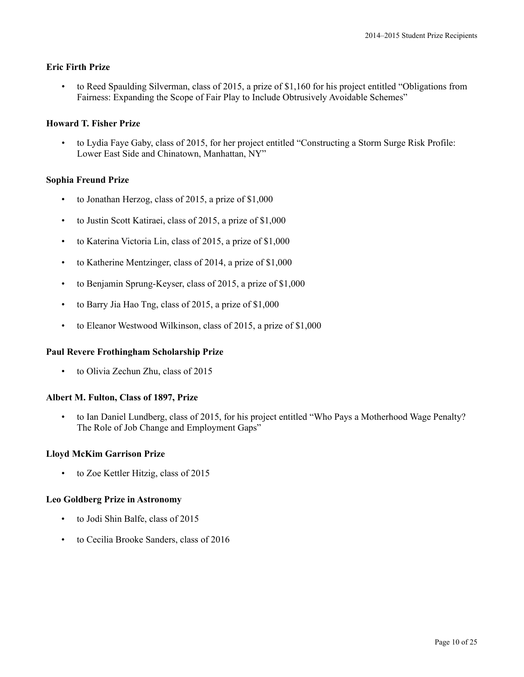# **Eric Firth Prize**

• to Reed Spaulding Silverman, class of 2015, a prize of \$1,160 for his project entitled "Obligations from Fairness: Expanding the Scope of Fair Play to Include Obtrusively Avoidable Schemes"

# **Howard T. Fisher Prize**

• to Lydia Faye Gaby, class of 2015, for her project entitled "Constructing a Storm Surge Risk Profile: Lower East Side and Chinatown, Manhattan, NY"

# **Sophia Freund Prize**

- to Jonathan Herzog, class of 2015, a prize of \$1,000
- to Justin Scott Katiraei, class of 2015, a prize of \$1,000
- to Katerina Victoria Lin, class of 2015, a prize of \$1,000
- to Katherine Mentzinger, class of 2014, a prize of \$1,000
- to Benjamin Sprung-Keyser, class of 2015, a prize of \$1,000
- to Barry Jia Hao Tng, class of 2015, a prize of \$1,000
- to Eleanor Westwood Wilkinson, class of 2015, a prize of \$1,000

#### **Paul Revere Frothingham Scholarship Prize**

• to Olivia Zechun Zhu, class of 2015

#### **Albert M. Fulton, Class of 1897, Prize**

• to Ian Daniel Lundberg, class of 2015, for his project entitled "Who Pays a Motherhood Wage Penalty? The Role of Job Change and Employment Gaps"

#### **Lloyd McKim Garrison Prize**

• to Zoe Kettler Hitzig, class of 2015

# **Leo Goldberg Prize in Astronomy**

- to Jodi Shin Balfe, class of 2015
- to Cecilia Brooke Sanders, class of 2016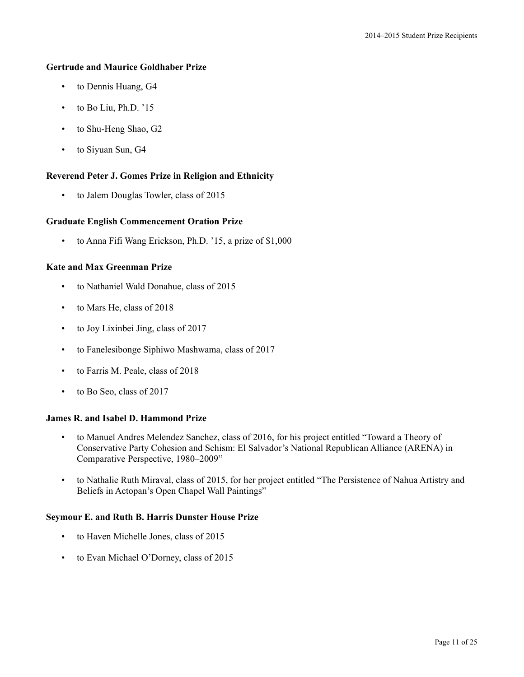# **Gertrude and Maurice Goldhaber Prize**

- to Dennis Huang, G4
- to Bo Liu, Ph.D. '15
- to Shu-Heng Shao, G2
- to Siyuan Sun, G4

# **Reverend Peter J. Gomes Prize in Religion and Ethnicity**

• to Jalem Douglas Towler, class of 2015

# **Graduate English Commencement Oration Prize**

• to Anna Fifi Wang Erickson, Ph.D. '15, a prize of \$1,000

# **Kate and Max Greenman Prize**

- to Nathaniel Wald Donahue, class of 2015
- to Mars He, class of 2018
- to Joy Lixinbei Jing, class of 2017
- to Fanelesibonge Siphiwo Mashwama, class of 2017
- to Farris M. Peale, class of 2018
- to Bo Seo, class of 2017

# **James R. and Isabel D. Hammond Prize**

- to Manuel Andres Melendez Sanchez, class of 2016, for his project entitled "Toward a Theory of Conservative Party Cohesion and Schism: El Salvador's National Republican Alliance (ARENA) in Comparative Perspective, 1980–2009"
- to Nathalie Ruth Miraval, class of 2015, for her project entitled "The Persistence of Nahua Artistry and Beliefs in Actopan's Open Chapel Wall Paintings"

# **Seymour E. and Ruth B. Harris Dunster House Prize**

- to Haven Michelle Jones, class of 2015
- to Evan Michael O'Dorney, class of 2015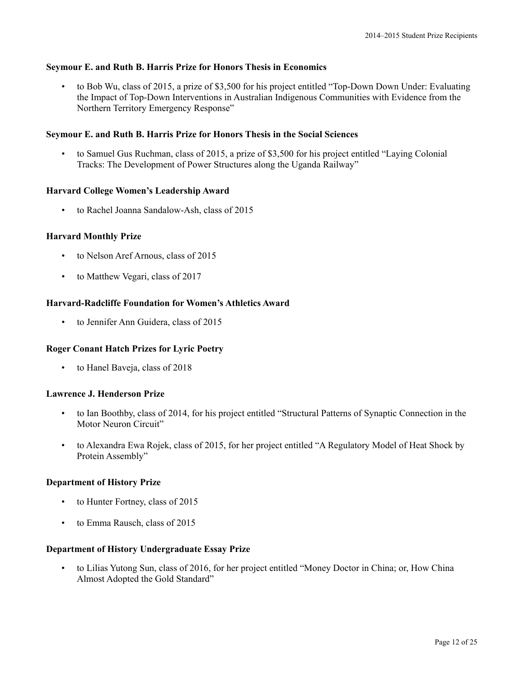# **Seymour E. and Ruth B. Harris Prize for Honors Thesis in Economics**

• to Bob Wu, class of 2015, a prize of \$3,500 for his project entitled "Top-Down Down Under: Evaluating the Impact of Top-Down Interventions in Australian Indigenous Communities with Evidence from the Northern Territory Emergency Response"

## **Seymour E. and Ruth B. Harris Prize for Honors Thesis in the Social Sciences**

• to Samuel Gus Ruchman, class of 2015, a prize of \$3,500 for his project entitled "Laying Colonial Tracks: The Development of Power Structures along the Uganda Railway"

#### **Harvard College Women's Leadership Award**

• to Rachel Joanna Sandalow-Ash, class of 2015

# **Harvard Monthly Prize**

- to Nelson Aref Arnous, class of 2015
- to Matthew Vegari, class of 2017

# **Harvard-Radcliffe Foundation for Women's Athletics Award**

• to Jennifer Ann Guidera, class of 2015

# **Roger Conant Hatch Prizes for Lyric Poetry**

• to Hanel Baveja, class of 2018

#### **Lawrence J. Henderson Prize**

- to Ian Boothby, class of 2014, for his project entitled "Structural Patterns of Synaptic Connection in the Motor Neuron Circuit"
- to Alexandra Ewa Rojek, class of 2015, for her project entitled "A Regulatory Model of Heat Shock by Protein Assembly"

#### **Department of History Prize**

- to Hunter Fortney, class of 2015
- to Emma Rausch, class of 2015

#### **Department of History Undergraduate Essay Prize**

• to Lilias Yutong Sun, class of 2016, for her project entitled "Money Doctor in China; or, How China Almost Adopted the Gold Standard"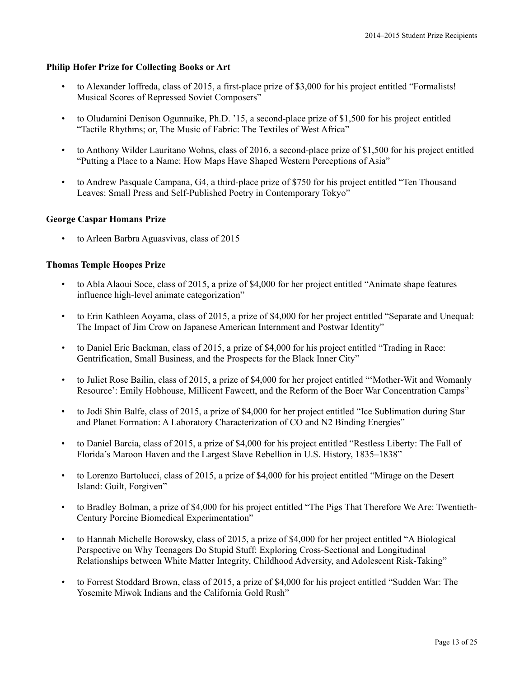#### **Philip Hofer Prize for Collecting Books or Art**

- to Alexander Ioffreda, class of 2015, a first-place prize of \$3,000 for his project entitled "Formalists! Musical Scores of Repressed Soviet Composers"
- to Oludamini Denison Ogunnaike, Ph.D. '15, a second-place prize of \$1,500 for his project entitled "Tactile Rhythms; or, The Music of Fabric: The Textiles of West Africa"
- to Anthony Wilder Lauritano Wohns, class of 2016, a second-place prize of \$1,500 for his project entitled "Putting a Place to a Name: How Maps Have Shaped Western Perceptions of Asia"
- to Andrew Pasquale Campana, G4, a third-place prize of \$750 for his project entitled "Ten Thousand Leaves: Small Press and Self-Published Poetry in Contemporary Tokyo"

#### **George Caspar Homans Prize**

• to Arleen Barbra Aguasvivas, class of 2015

# **Thomas Temple Hoopes Prize**

- to Abla Alaoui Soce, class of 2015, a prize of \$4,000 for her project entitled "Animate shape features influence high-level animate categorization"
- to Erin Kathleen Aoyama, class of 2015, a prize of \$4,000 for her project entitled "Separate and Unequal: The Impact of Jim Crow on Japanese American Internment and Postwar Identity"
- to Daniel Eric Backman, class of 2015, a prize of \$4,000 for his project entitled "Trading in Race: Gentrification, Small Business, and the Prospects for the Black Inner City"
- to Juliet Rose Bailin, class of 2015, a prize of \$4,000 for her project entitled "'Mother-Wit and Womanly Resource': Emily Hobhouse, Millicent Fawcett, and the Reform of the Boer War Concentration Camps"
- to Jodi Shin Balfe, class of 2015, a prize of \$4,000 for her project entitled "Ice Sublimation during Star and Planet Formation: A Laboratory Characterization of CO and N2 Binding Energies"
- to Daniel Barcia, class of 2015, a prize of \$4,000 for his project entitled "Restless Liberty: The Fall of Florida's Maroon Haven and the Largest Slave Rebellion in U.S. History, 1835–1838"
- to Lorenzo Bartolucci, class of 2015, a prize of \$4,000 for his project entitled "Mirage on the Desert Island: Guilt, Forgiven"
- to Bradley Bolman, a prize of \$4,000 for his project entitled "The Pigs That Therefore We Are: Twentieth-Century Porcine Biomedical Experimentation"
- to Hannah Michelle Borowsky, class of 2015, a prize of \$4,000 for her project entitled "A Biological Perspective on Why Teenagers Do Stupid Stuff: Exploring Cross-Sectional and Longitudinal Relationships between White Matter Integrity, Childhood Adversity, and Adolescent Risk-Taking"
- to Forrest Stoddard Brown, class of 2015, a prize of \$4,000 for his project entitled "Sudden War: The Yosemite Miwok Indians and the California Gold Rush"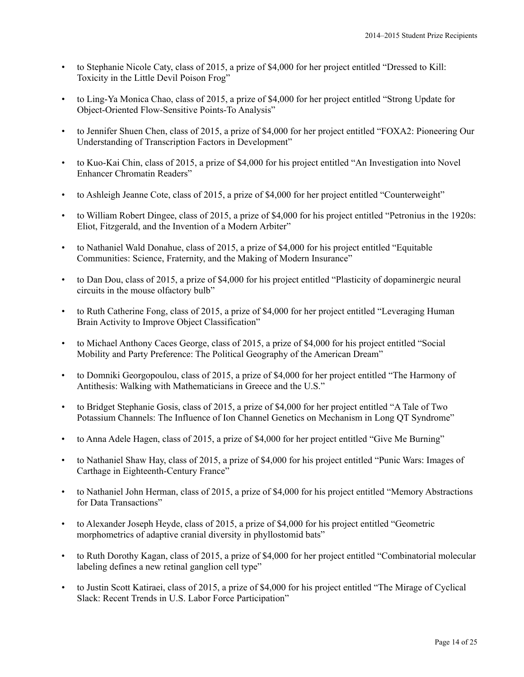- to Stephanie Nicole Caty, class of 2015, a prize of \$4,000 for her project entitled "Dressed to Kill: Toxicity in the Little Devil Poison Frog"
- to Ling-Ya Monica Chao, class of 2015, a prize of \$4,000 for her project entitled "Strong Update for Object-Oriented Flow-Sensitive Points-To Analysis"
- to Jennifer Shuen Chen, class of 2015, a prize of \$4,000 for her project entitled "FOXA2: Pioneering Our Understanding of Transcription Factors in Development"
- to Kuo-Kai Chin, class of 2015, a prize of \$4,000 for his project entitled "An Investigation into Novel Enhancer Chromatin Readers"
- to Ashleigh Jeanne Cote, class of 2015, a prize of \$4,000 for her project entitled "Counterweight"
- to William Robert Dingee, class of 2015, a prize of \$4,000 for his project entitled "Petronius in the 1920s: Eliot, Fitzgerald, and the Invention of a Modern Arbiter"
- to Nathaniel Wald Donahue, class of 2015, a prize of \$4,000 for his project entitled "Equitable Communities: Science, Fraternity, and the Making of Modern Insurance"
- to Dan Dou, class of 2015, a prize of \$4,000 for his project entitled "Plasticity of dopaminergic neural circuits in the mouse olfactory bulb"
- to Ruth Catherine Fong, class of 2015, a prize of \$4,000 for her project entitled "Leveraging Human Brain Activity to Improve Object Classification"
- to Michael Anthony Caces George, class of 2015, a prize of \$4,000 for his project entitled "Social Mobility and Party Preference: The Political Geography of the American Dream"
- to Domniki Georgopoulou, class of 2015, a prize of \$4,000 for her project entitled "The Harmony of Antithesis: Walking with Mathematicians in Greece and the U.S."
- to Bridget Stephanie Gosis, class of 2015, a prize of \$4,000 for her project entitled "A Tale of Two Potassium Channels: The Influence of Ion Channel Genetics on Mechanism in Long QT Syndrome"
- to Anna Adele Hagen, class of 2015, a prize of \$4,000 for her project entitled "Give Me Burning"
- to Nathaniel Shaw Hay, class of 2015, a prize of \$4,000 for his project entitled "Punic Wars: Images of Carthage in Eighteenth-Century France"
- to Nathaniel John Herman, class of 2015, a prize of \$4,000 for his project entitled "Memory Abstractions for Data Transactions"
- to Alexander Joseph Heyde, class of 2015, a prize of \$4,000 for his project entitled "Geometric morphometrics of adaptive cranial diversity in phyllostomid bats"
- to Ruth Dorothy Kagan, class of 2015, a prize of \$4,000 for her project entitled "Combinatorial molecular labeling defines a new retinal ganglion cell type"
- to Justin Scott Katiraei, class of 2015, a prize of \$4,000 for his project entitled "The Mirage of Cyclical Slack: Recent Trends in U.S. Labor Force Participation"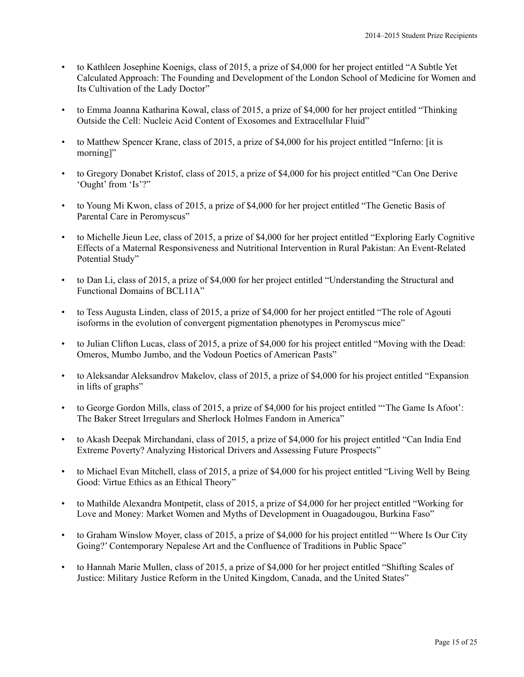- to Kathleen Josephine Koenigs, class of 2015, a prize of \$4,000 for her project entitled "A Subtle Yet Calculated Approach: The Founding and Development of the London School of Medicine for Women and Its Cultivation of the Lady Doctor"
- to Emma Joanna Katharina Kowal, class of 2015, a prize of \$4,000 for her project entitled "Thinking Outside the Cell: Nucleic Acid Content of Exosomes and Extracellular Fluid"
- to Matthew Spencer Krane, class of 2015, a prize of \$4,000 for his project entitled "Inferno: [it is morning]"
- to Gregory Donabet Kristof, class of 2015, a prize of \$4,000 for his project entitled "Can One Derive 'Ought' from 'Is'?"
- to Young Mi Kwon, class of 2015, a prize of \$4,000 for her project entitled "The Genetic Basis of Parental Care in Peromyscus"
- to Michelle Jieun Lee, class of 2015, a prize of \$4,000 for her project entitled "Exploring Early Cognitive Effects of a Maternal Responsiveness and Nutritional Intervention in Rural Pakistan: An Event-Related Potential Study"
- to Dan Li, class of 2015, a prize of \$4,000 for her project entitled "Understanding the Structural and Functional Domains of BCL11A"
- to Tess Augusta Linden, class of 2015, a prize of \$4,000 for her project entitled "The role of Agouti isoforms in the evolution of convergent pigmentation phenotypes in Peromyscus mice"
- to Julian Clifton Lucas, class of 2015, a prize of \$4,000 for his project entitled "Moving with the Dead: Omeros, Mumbo Jumbo, and the Vodoun Poetics of American Pasts"
- to Aleksandar Aleksandrov Makelov, class of 2015, a prize of \$4,000 for his project entitled "Expansion in lifts of graphs"
- to George Gordon Mills, class of 2015, a prize of \$4,000 for his project entitled "'The Game Is Afoot': The Baker Street Irregulars and Sherlock Holmes Fandom in America"
- to Akash Deepak Mirchandani, class of 2015, a prize of \$4,000 for his project entitled "Can India End Extreme Poverty? Analyzing Historical Drivers and Assessing Future Prospects"
- to Michael Evan Mitchell, class of 2015, a prize of \$4,000 for his project entitled "Living Well by Being Good: Virtue Ethics as an Ethical Theory"
- to Mathilde Alexandra Montpetit, class of 2015, a prize of \$4,000 for her project entitled "Working for Love and Money: Market Women and Myths of Development in Ouagadougou, Burkina Faso"
- to Graham Winslow Moyer, class of 2015, a prize of \$4,000 for his project entitled "'Where Is Our City Going?' Contemporary Nepalese Art and the Confluence of Traditions in Public Space"
- to Hannah Marie Mullen, class of 2015, a prize of \$4,000 for her project entitled "Shifting Scales of Justice: Military Justice Reform in the United Kingdom, Canada, and the United States"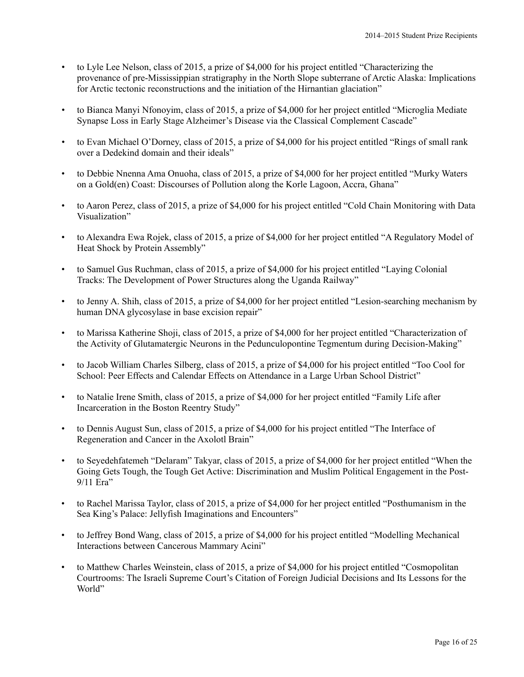- to Lyle Lee Nelson, class of 2015, a prize of \$4,000 for his project entitled "Characterizing the provenance of pre-Mississippian stratigraphy in the North Slope subterrane of Arctic Alaska: Implications for Arctic tectonic reconstructions and the initiation of the Hirnantian glaciation"
- to Bianca Manyi Nfonoyim, class of 2015, a prize of \$4,000 for her project entitled "Microglia Mediate Synapse Loss in Early Stage Alzheimer's Disease via the Classical Complement Cascade"
- to Evan Michael O'Dorney, class of 2015, a prize of \$4,000 for his project entitled "Rings of small rank over a Dedekind domain and their ideals"
- to Debbie Nnenna Ama Onuoha, class of 2015, a prize of \$4,000 for her project entitled "Murky Waters on a Gold(en) Coast: Discourses of Pollution along the Korle Lagoon, Accra, Ghana"
- to Aaron Perez, class of 2015, a prize of \$4,000 for his project entitled "Cold Chain Monitoring with Data Visualization"
- to Alexandra Ewa Rojek, class of 2015, a prize of \$4,000 for her project entitled "A Regulatory Model of Heat Shock by Protein Assembly"
- to Samuel Gus Ruchman, class of 2015, a prize of \$4,000 for his project entitled "Laying Colonial Tracks: The Development of Power Structures along the Uganda Railway"
- to Jenny A. Shih, class of 2015, a prize of \$4,000 for her project entitled "Lesion-searching mechanism by human DNA glycosylase in base excision repair"
- to Marissa Katherine Shoji, class of 2015, a prize of \$4,000 for her project entitled "Characterization of the Activity of Glutamatergic Neurons in the Pedunculopontine Tegmentum during Decision-Making"
- to Jacob William Charles Silberg, class of 2015, a prize of \$4,000 for his project entitled "Too Cool for School: Peer Effects and Calendar Effects on Attendance in a Large Urban School District"
- to Natalie Irene Smith, class of 2015, a prize of \$4,000 for her project entitled "Family Life after Incarceration in the Boston Reentry Study"
- to Dennis August Sun, class of 2015, a prize of \$4,000 for his project entitled "The Interface of Regeneration and Cancer in the Axolotl Brain"
- to Seyedehfatemeh "Delaram" Takyar, class of 2015, a prize of \$4,000 for her project entitled "When the Going Gets Tough, the Tough Get Active: Discrimination and Muslim Political Engagement in the Post-9/11 Era"
- to Rachel Marissa Taylor, class of 2015, a prize of \$4,000 for her project entitled "Posthumanism in the Sea King's Palace: Jellyfish Imaginations and Encounters"
- to Jeffrey Bond Wang, class of 2015, a prize of \$4,000 for his project entitled "Modelling Mechanical Interactions between Cancerous Mammary Acini"
- to Matthew Charles Weinstein, class of 2015, a prize of \$4,000 for his project entitled "Cosmopolitan Courtrooms: The Israeli Supreme Court's Citation of Foreign Judicial Decisions and Its Lessons for the World"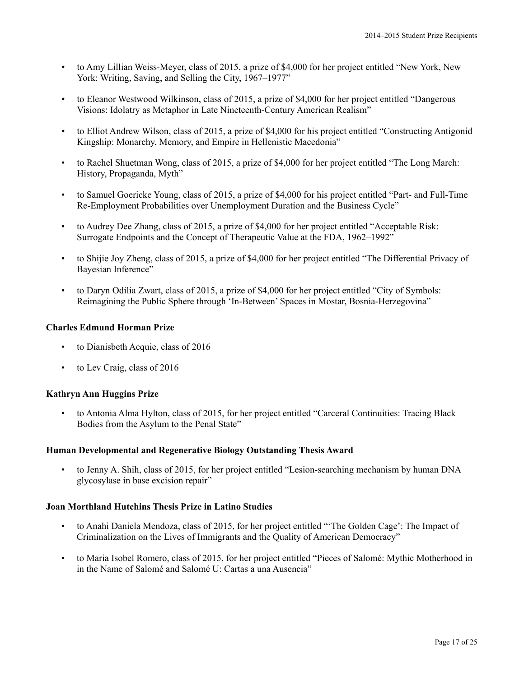- to Amy Lillian Weiss-Meyer, class of 2015, a prize of \$4,000 for her project entitled "New York, New York: Writing, Saving, and Selling the City, 1967–1977"
- to Eleanor Westwood Wilkinson, class of 2015, a prize of \$4,000 for her project entitled "Dangerous Visions: Idolatry as Metaphor in Late Nineteenth-Century American Realism"
- to Elliot Andrew Wilson, class of 2015, a prize of \$4,000 for his project entitled "Constructing Antigonid Kingship: Monarchy, Memory, and Empire in Hellenistic Macedonia"
- to Rachel Shuetman Wong, class of 2015, a prize of \$4,000 for her project entitled "The Long March: History, Propaganda, Myth"
- to Samuel Goericke Young, class of 2015, a prize of \$4,000 for his project entitled "Part- and Full-Time Re-Employment Probabilities over Unemployment Duration and the Business Cycle"
- to Audrey Dee Zhang, class of 2015, a prize of \$4,000 for her project entitled "Acceptable Risk: Surrogate Endpoints and the Concept of Therapeutic Value at the FDA, 1962–1992"
- to Shijie Joy Zheng, class of 2015, a prize of \$4,000 for her project entitled "The Differential Privacy of Bayesian Inference"
- to Daryn Odilia Zwart, class of 2015, a prize of \$4,000 for her project entitled "City of Symbols: Reimagining the Public Sphere through 'In-Between' Spaces in Mostar, Bosnia-Herzegovina"

# **Charles Edmund Horman Prize**

- to Dianisbeth Acquie, class of 2016
- to Lev Craig, class of 2016

#### **Kathryn Ann Huggins Prize**

• to Antonia Alma Hylton, class of 2015, for her project entitled "Carceral Continuities: Tracing Black Bodies from the Asylum to the Penal State"

#### **Human Developmental and Regenerative Biology Outstanding Thesis Award**

• to Jenny A. Shih, class of 2015, for her project entitled "Lesion-searching mechanism by human DNA glycosylase in base excision repair"

#### **Joan Morthland Hutchins Thesis Prize in Latino Studies**

- to Anahi Daniela Mendoza, class of 2015, for her project entitled "'The Golden Cage': The Impact of Criminalization on the Lives of Immigrants and the Quality of American Democracy"
- to Maria Isobel Romero, class of 2015, for her project entitled "Pieces of Salomé: Mythic Motherhood in in the Name of Salomé and Salomé U: Cartas a una Ausencia"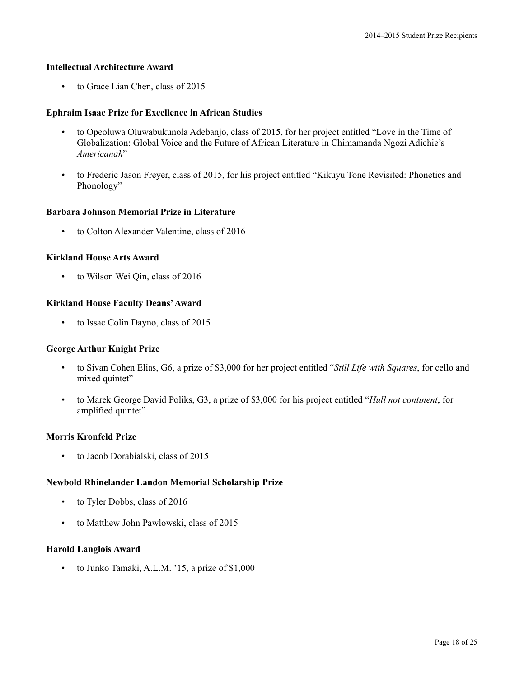# **Intellectual Architecture Award**

• to Grace Lian Chen, class of 2015

## **Ephraim Isaac Prize for Excellence in African Studies**

- to Opeoluwa Oluwabukunola Adebanjo, class of 2015, for her project entitled "Love in the Time of Globalization: Global Voice and the Future of African Literature in Chimamanda Ngozi Adichie's *Americanah*"
- to Frederic Jason Freyer, class of 2015, for his project entitled "Kikuyu Tone Revisited: Phonetics and Phonology"

# **Barbara Johnson Memorial Prize in Literature**

• to Colton Alexander Valentine, class of 2016

#### **Kirkland House Arts Award**

• to Wilson Wei Qin, class of 2016

#### **Kirkland House Faculty Deans'Award**

• to Issac Colin Dayno, class of 2015

## **George Arthur Knight Prize**

- to Sivan Cohen Elias, G6, a prize of \$3,000 for her project entitled "*Still Life with Squares*, for cello and mixed quintet"
- to Marek George David Poliks, G3, a prize of \$3,000 for his project entitled "*Hull not continent*, for amplified quintet"

#### **Morris Kronfeld Prize**

• to Jacob Dorabialski, class of 2015

#### **Newbold Rhinelander Landon Memorial Scholarship Prize**

- to Tyler Dobbs, class of 2016
- to Matthew John Pawlowski, class of 2015

#### **Harold Langlois Award**

• to Junko Tamaki, A.L.M. '15, a prize of \$1,000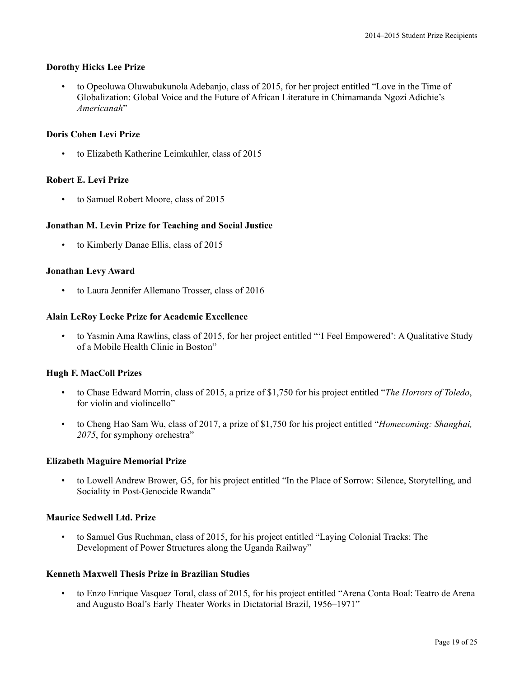## **Dorothy Hicks Lee Prize**

• to Opeoluwa Oluwabukunola Adebanjo, class of 2015, for her project entitled "Love in the Time of Globalization: Global Voice and the Future of African Literature in Chimamanda Ngozi Adichie's *Americanah*"

# **Doris Cohen Levi Prize**

• to Elizabeth Katherine Leimkuhler, class of 2015

# **Robert E. Levi Prize**

• to Samuel Robert Moore, class of 2015

# **Jonathan M. Levin Prize for Teaching and Social Justice**

• to Kimberly Danae Ellis, class of 2015

#### **Jonathan Levy Award**

• to Laura Jennifer Allemano Trosser, class of 2016

#### **Alain LeRoy Locke Prize for Academic Excellence**

• to Yasmin Ama Rawlins, class of 2015, for her project entitled "'I Feel Empowered': A Qualitative Study of a Mobile Health Clinic in Boston"

# **Hugh F. MacColl Prizes**

- to Chase Edward Morrin, class of 2015, a prize of \$1,750 for his project entitled "*The Horrors of Toledo*, for violin and violincello"
- to Cheng Hao Sam Wu, class of 2017, a prize of \$1,750 for his project entitled "*Homecoming: Shanghai, 2075*, for symphony orchestra"

#### **Elizabeth Maguire Memorial Prize**

• to Lowell Andrew Brower, G5, for his project entitled "In the Place of Sorrow: Silence, Storytelling, and Sociality in Post-Genocide Rwanda"

## **Maurice Sedwell Ltd. Prize**

• to Samuel Gus Ruchman, class of 2015, for his project entitled "Laying Colonial Tracks: The Development of Power Structures along the Uganda Railway"

# **Kenneth Maxwell Thesis Prize in Brazilian Studies**

• to Enzo Enrique Vasquez Toral, class of 2015, for his project entitled "Arena Conta Boal: Teatro de Arena and Augusto Boal's Early Theater Works in Dictatorial Brazil, 1956–1971"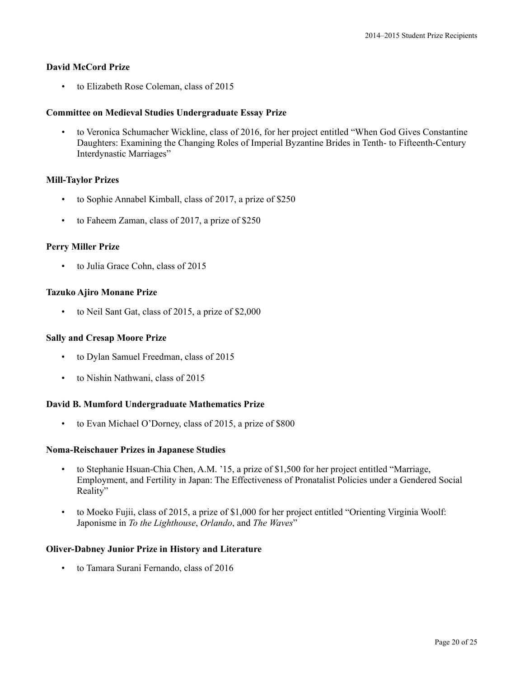# **David McCord Prize**

• to Elizabeth Rose Coleman, class of 2015

# **Committee on Medieval Studies Undergraduate Essay Prize**

• to Veronica Schumacher Wickline, class of 2016, for her project entitled "When God Gives Constantine Daughters: Examining the Changing Roles of Imperial Byzantine Brides in Tenth- to Fifteenth-Century Interdynastic Marriages"

# **Mill-Taylor Prizes**

- to Sophie Annabel Kimball, class of 2017, a prize of \$250
- to Faheem Zaman, class of 2017, a prize of \$250

# **Perry Miller Prize**

• to Julia Grace Cohn, class of 2015

# **Tazuko Ajiro Monane Prize**

• to Neil Sant Gat, class of 2015, a prize of \$2,000

# **Sally and Cresap Moore Prize**

- to Dylan Samuel Freedman, class of 2015
- to Nishin Nathwani, class of 2015

# **David B. Mumford Undergraduate Mathematics Prize**

• to Evan Michael O'Dorney, class of 2015, a prize of \$800

# **Noma-Reischauer Prizes in Japanese Studies**

- to Stephanie Hsuan-Chia Chen, A.M. '15, a prize of \$1,500 for her project entitled "Marriage, Employment, and Fertility in Japan: The Effectiveness of Pronatalist Policies under a Gendered Social Reality"
- to Moeko Fujii, class of 2015, a prize of \$1,000 for her project entitled "Orienting Virginia Woolf: Japonisme in *To the Lighthouse*, *Orlando*, and *The Waves*"

# **Oliver-Dabney Junior Prize in History and Literature**

• to Tamara Surani Fernando, class of 2016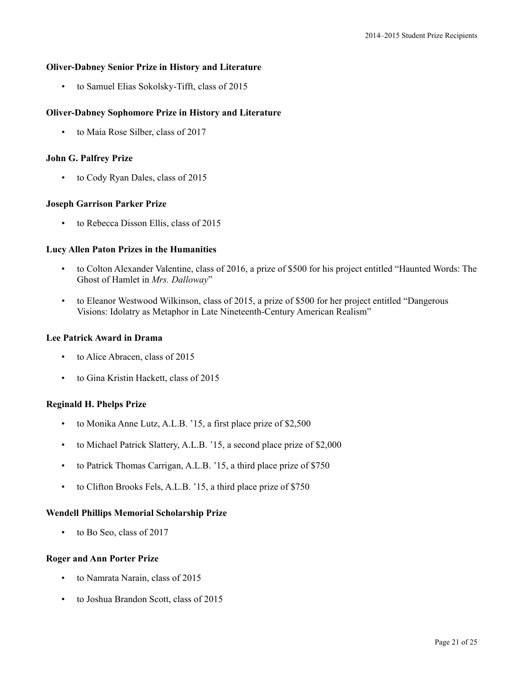## **Oliver-Dabney Senior Prize in History and Literature**

• to Samuel Elias Sokolsky-Tifft, class of 2015

# **Oliver-Dabney Sophomore Prize in History and Literature**

• to Maia Rose Silber, class of 2017

## **John G. Palfrey Prize**

• to Cody Ryan Dales, class of 2015

# **Joseph Garrison Parker Prize**

• to Rebecca Disson Ellis, class of 2015

# **Lucy Allen Paton Prizes in the Humanities**

- to Colton Alexander Valentine, class of 2016, a prize of \$500 for his project entitled "Haunted Words: The Ghost of Hamlet in *Mrs. Dalloway*"
- to Eleanor Westwood Wilkinson, class of 2015, a prize of \$500 for her project entitled "Dangerous Visions: Idolatry as Metaphor in Late Nineteenth-Century American Realism"

## **Lee Patrick Award in Drama**

- to Alice Abracen, class of 2015
- to Gina Kristin Hackett, class of 2015

## **Reginald H. Phelps Prize**

- to Monika Anne Lutz, A.L.B. '15, a first place prize of \$2,500
- to Michael Patrick Slattery, A.L.B. '15, a second place prize of \$2,000
- to Patrick Thomas Carrigan, A.L.B. '15, a third place prize of \$750
- to Clifton Brooks Fels, A.L.B. '15, a third place prize of \$750

#### **Wendell Phillips Memorial Scholarship Prize**

• to Bo Seo, class of 2017

#### **Roger and Ann Porter Prize**

- to Namrata Narain, class of 2015
- to Joshua Brandon Scott, class of 2015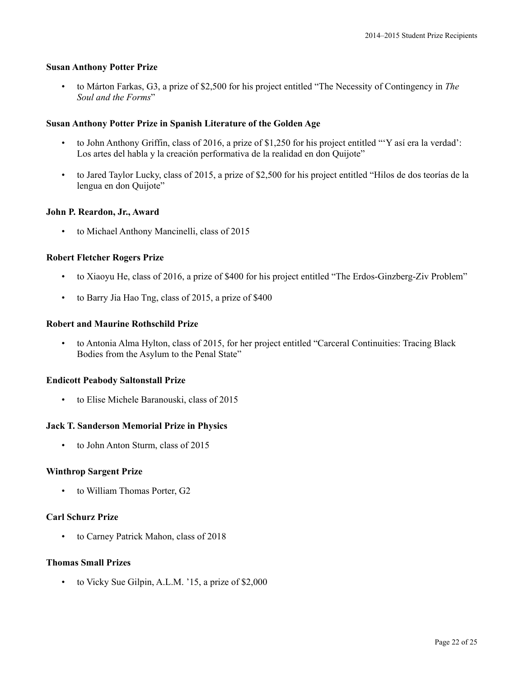#### **Susan Anthony Potter Prize**

• to Márton Farkas, G3, a prize of \$2,500 for his project entitled "The Necessity of Contingency in *The Soul and the Forms*"

## **Susan Anthony Potter Prize in Spanish Literature of the Golden Age**

- to John Anthony Griffin, class of 2016, a prize of \$1,250 for his project entitled "'Y así era la verdad': Los artes del habla y la creación performativa de la realidad en don Quijote"
- to Jared Taylor Lucky, class of 2015, a prize of \$2,500 for his project entitled "Hilos de dos teorías de la lengua en don Quijote"

# **John P. Reardon, Jr., Award**

• to Michael Anthony Mancinelli, class of 2015

# **Robert Fletcher Rogers Prize**

- to Xiaoyu He, class of 2016, a prize of \$400 for his project entitled "The Erdos-Ginzberg-Ziv Problem"
- to Barry Jia Hao Tng, class of 2015, a prize of \$400

#### **Robert and Maurine Rothschild Prize**

• to Antonia Alma Hylton, class of 2015, for her project entitled "Carceral Continuities: Tracing Black Bodies from the Asylum to the Penal State"

## **Endicott Peabody Saltonstall Prize**

• to Elise Michele Baranouski, class of 2015

#### **Jack T. Sanderson Memorial Prize in Physics**

• to John Anton Sturm, class of 2015

#### **Winthrop Sargent Prize**

• to William Thomas Porter, G2

# **Carl Schurz Prize**

• to Carney Patrick Mahon, class of 2018

#### **Thomas Small Prizes**

• to Vicky Sue Gilpin, A.L.M. '15, a prize of \$2,000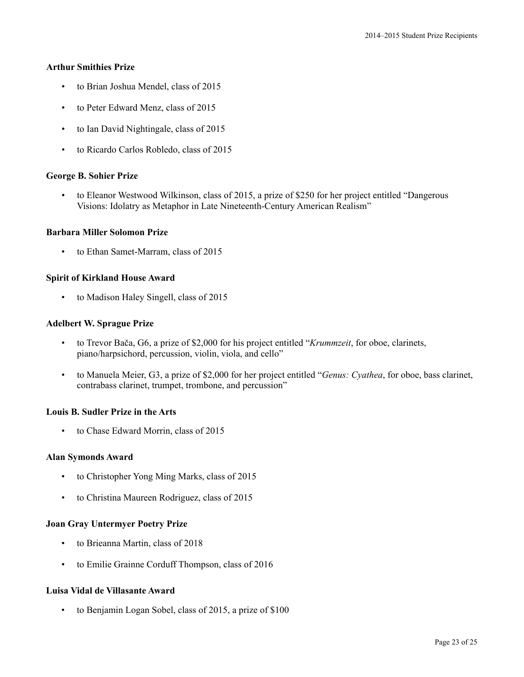## **Arthur Smithies Prize**

- to Brian Joshua Mendel, class of 2015
- to Peter Edward Menz, class of 2015
- to Ian David Nightingale, class of 2015
- to Ricardo Carlos Robledo, class of 2015

# **George B. Sohier Prize**

• to Eleanor Westwood Wilkinson, class of 2015, a prize of \$250 for her project entitled "Dangerous Visions: Idolatry as Metaphor in Late Nineteenth-Century American Realism"

# **Barbara Miller Solomon Prize**

• to Ethan Samet-Marram, class of 2015

# **Spirit of Kirkland House Award**

• to Madison Haley Singell, class of 2015

# **Adelbert W. Sprague Prize**

- to Trevor Bača, G6, a prize of \$2,000 for his project entitled "*Krummzeit*, for oboe, clarinets, piano/harpsichord, percussion, violin, viola, and cello"
- to Manuela Meier, G3, a prize of \$2,000 for her project entitled "*Genus: Cyathea*, for oboe, bass clarinet, contrabass clarinet, trumpet, trombone, and percussion"

# **Louis B. Sudler Prize in the Arts**

• to Chase Edward Morrin, class of 2015

#### **Alan Symonds Award**

- to Christopher Yong Ming Marks, class of 2015
- to Christina Maureen Rodriguez, class of 2015

#### **Joan Gray Untermyer Poetry Prize**

- to Brieanna Martin, class of 2018
- to Emilie Grainne Corduff Thompson, class of 2016

# **Luisa Vidal de Villasante Award**

to Benjamin Logan Sobel, class of 2015, a prize of \$100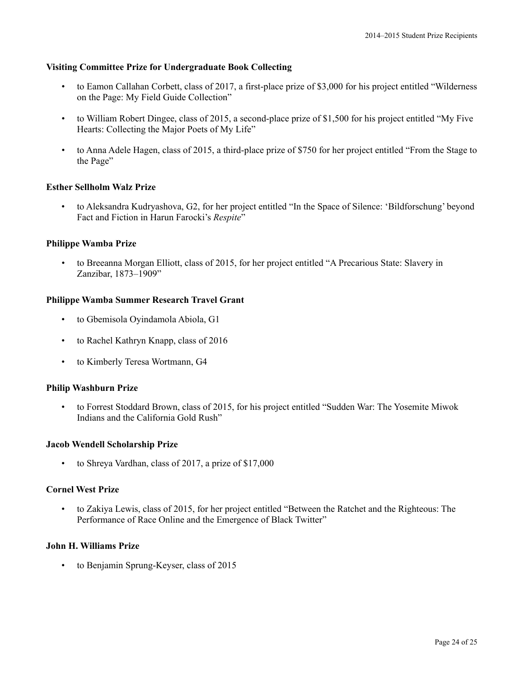# **Visiting Committee Prize for Undergraduate Book Collecting**

- to Eamon Callahan Corbett, class of 2017, a first-place prize of \$3,000 for his project entitled "Wilderness on the Page: My Field Guide Collection"
- to William Robert Dingee, class of 2015, a second-place prize of \$1,500 for his project entitled "My Five Hearts: Collecting the Major Poets of My Life"
- to Anna Adele Hagen, class of 2015, a third-place prize of \$750 for her project entitled "From the Stage to the Page"

# **Esther Sellholm Walz Prize**

• to Aleksandra Kudryashova, G2, for her project entitled "In the Space of Silence: 'Bildforschung' beyond Fact and Fiction in Harun Farocki's *Respite*"

# **Philippe Wamba Prize**

• to Breeanna Morgan Elliott, class of 2015, for her project entitled "A Precarious State: Slavery in Zanzibar, 1873–1909"

# **Philippe Wamba Summer Research Travel Grant**

- to Gbemisola Oyindamola Abiola, G1
- to Rachel Kathryn Knapp, class of 2016
- to Kimberly Teresa Wortmann, G4

#### **Philip Washburn Prize**

• to Forrest Stoddard Brown, class of 2015, for his project entitled "Sudden War: The Yosemite Miwok Indians and the California Gold Rush"

#### **Jacob Wendell Scholarship Prize**

to Shreya Vardhan, class of 2017, a prize of \$17,000

# **Cornel West Prize**

• to Zakiya Lewis, class of 2015, for her project entitled "Between the Ratchet and the Righteous: The Performance of Race Online and the Emergence of Black Twitter"

# **John H. Williams Prize**

• to Benjamin Sprung-Keyser, class of 2015